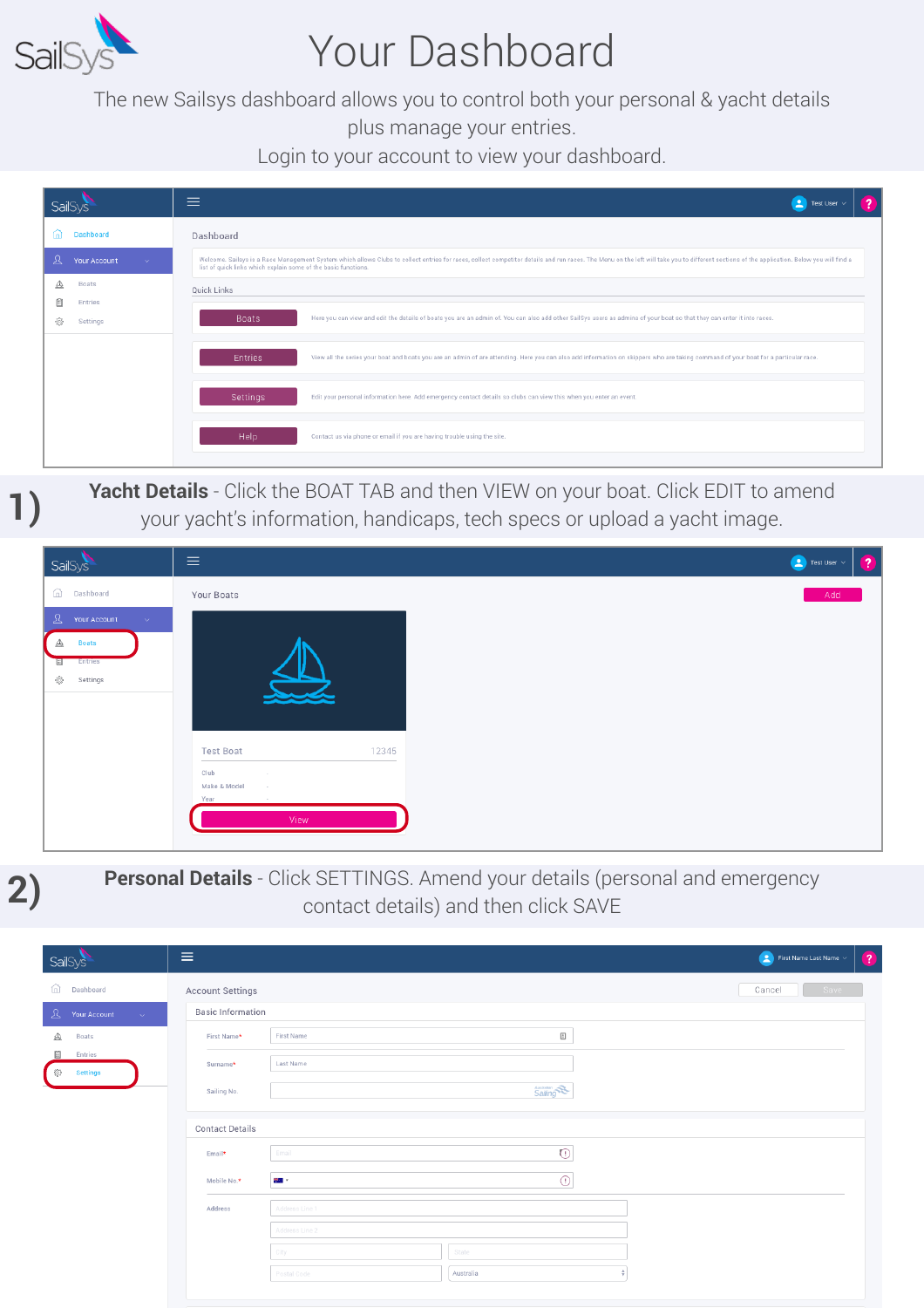

### Your Dashboard

The new Sailsys dashboard allows you to control both your personal & yacht details

plus manage your entries.

Login to your account to view your dashboard.

| <b>SailSys</b>                 | ≡<br>$\boxed{2}$ Test User $\vee$                                                                                                                                                                                                                                                                |
|--------------------------------|--------------------------------------------------------------------------------------------------------------------------------------------------------------------------------------------------------------------------------------------------------------------------------------------------|
| Dashboard<br>甸                 | Dashboard                                                                                                                                                                                                                                                                                        |
| я<br><b>Your Account</b><br>v. | Welcome. Sailsys is a Race Management System which allows Clubs to collect entries for races, collect competitor details and run races. The Menu on the left will take you to different sections of the application. Below you<br>list of quick links which explain some of the basic functions. |
| Boats<br>◬                     | Quick Links                                                                                                                                                                                                                                                                                      |
| ₿<br>Entries<br>槍<br>Settings  | Boats<br>Here you can view and edit the details of boats you are an admin of. You can also add other SailSys users as admins of your boat so that they can enter it into races.                                                                                                                  |
|                                | <b>Entries</b><br>View all the series your boat and boats you are an admin of are attending. Here you can also add information on skippers who are taking command of your boat for a particular race.                                                                                            |
|                                | <b>Settings</b><br>Edit your personal information here. Add emergency contact details so clubs can view this when you enter an event.                                                                                                                                                            |
|                                | Help<br>Contact us via phone or email if you are having trouble using the site.                                                                                                                                                                                                                  |

## **Yacht Details** - Click the BOAT TAB and then VIEW on your boat. Click EDIT to amend<br>your yacht's information, handicaps, tech specs or upload a yacht image.





#### **Personal Details** - Click SETTINGS. Amend your details (personal and emergency contact details) and then click SAVE

| SailSys                                                   | Ξ                                                                  | $\left( 2\right)$<br>$\begin{pmatrix} 2 \\ 3 \end{pmatrix}$ First Name Last Name $\sim$ |
|-----------------------------------------------------------|--------------------------------------------------------------------|-----------------------------------------------------------------------------------------|
| ⋒<br>Dashboard                                            | <b>Account Settings</b>                                            | Cancel<br>Save                                                                          |
| $\mathbf{A}$ Your Account<br>$\sim$ $^{-1}$               | <b>Basic Information</b>                                           |                                                                                         |
| ◬<br>Boats                                                | $\begin{bmatrix} \hbar \end{bmatrix}$<br>First Name<br>First Name* |                                                                                         |
| B<br>Entries<br>$\{^{n_{1}}_{Q_{2}}\}$<br><b>Settings</b> | Last Name<br>Surname*                                              |                                                                                         |
|                                                           | <b>Australian</b><br>Sailing No.                                   |                                                                                         |
|                                                           | <b>Contact Details</b>                                             |                                                                                         |
|                                                           | $\odot$<br>Email<br>Email*                                         |                                                                                         |
|                                                           | $\odot$<br><b>200 -</b><br>Mobile No.*                             |                                                                                         |
|                                                           | Address Line 1<br>Address                                          |                                                                                         |
|                                                           | Address Line 2                                                     |                                                                                         |
|                                                           | State<br>City                                                      |                                                                                         |
|                                                           | Australia<br>٠<br>Postal Code                                      |                                                                                         |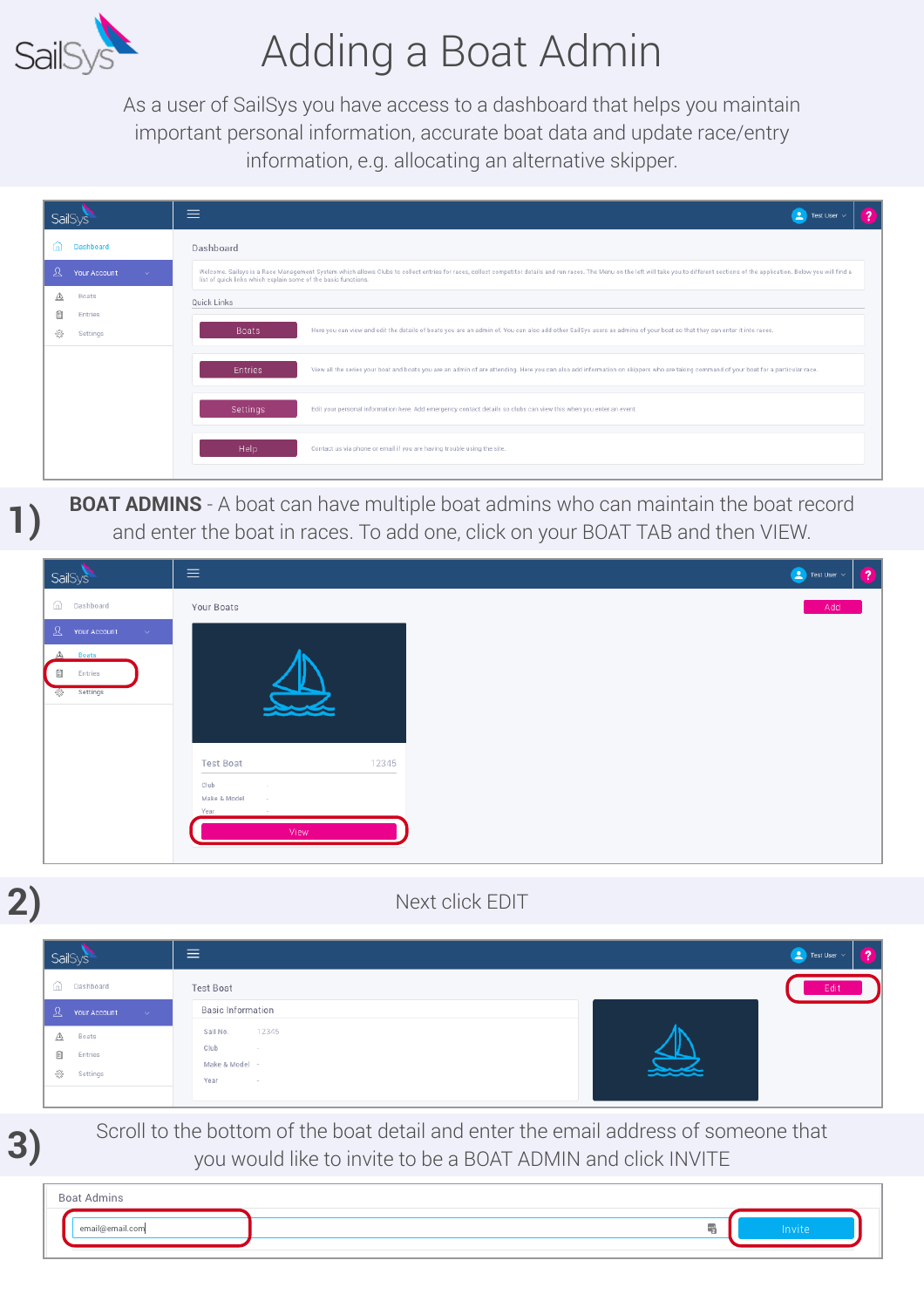

**2)**

**3)**

# Adding a Boat Admin

As a user of SailSys you have access to a dashboard that helps you maintain important personal information, accurate boat data and update race/entry information, e.g. allocating an alternative skipper.

| SailSys                                                                                                                                                                                                                                                                                                                         | $\equiv$<br>$\mathbf{z}$<br>Test User $\vee$                                                                                                                                                          |
|---------------------------------------------------------------------------------------------------------------------------------------------------------------------------------------------------------------------------------------------------------------------------------------------------------------------------------|-------------------------------------------------------------------------------------------------------------------------------------------------------------------------------------------------------|
| Dashboard<br>fn)                                                                                                                                                                                                                                                                                                                | Dashboard                                                                                                                                                                                             |
| ℒ<br>Welcome. Sailsys is a Race Management System which allows Clubs to collect entries for races, collect competitor details and run races. The Menu on the left will take you to different sections of the application. Below you<br>Your Account<br>$\sim$<br>list of quick links which explain some of the basic functions. |                                                                                                                                                                                                       |
| ◬<br>Boats                                                                                                                                                                                                                                                                                                                      | Quick Links                                                                                                                                                                                           |
| ⊟<br>Entries<br>-63<br>Settings                                                                                                                                                                                                                                                                                                 | Boats<br>Here you can view and edit the details of boats you are an admin of. You can also add other SailSys users as admins of your boat so that they can enter it into races.                       |
|                                                                                                                                                                                                                                                                                                                                 | View all the series your boat and boats you are an admin of are attending. Here you can also add information on skippers who are taking command of your boat for a particular race.<br><b>Entries</b> |
|                                                                                                                                                                                                                                                                                                                                 | Settings<br>Edit your personal information here. Add emergency contact details so clubs can view this when you enter an event.                                                                        |
|                                                                                                                                                                                                                                                                                                                                 | Help<br>Contact us via phone or email if you are having trouble using the site.                                                                                                                       |

**BOAT ADMINS** - A boat can have multiple boat admins who can maintain the boat record and enter the boat in races. To add one, click on your BOAT TAB and then VIEW.

| SailSys                                                  | $\equiv$                                                   |       |  | <b>Co</b> Test User $\sim$ | $\bullet$ |
|----------------------------------------------------------|------------------------------------------------------------|-------|--|----------------------------|-----------|
| ⋒<br>Dashboard                                           | Your Boats                                                 |       |  | Add                        |           |
| $\mathcal{L}$ Your Account<br><b>Sec.</b>                |                                                            |       |  |                            |           |
| ◬<br><b>Boats</b><br>Ë<br>Entries<br>Settings<br>$\circ$ |                                                            |       |  |                            |           |
|                                                          | <b>Test Boat</b>                                           | 12345 |  |                            |           |
|                                                          | Club<br>$\sim$<br>Make & Model<br>$\sim$<br>Year<br>$\sim$ |       |  |                            |           |
|                                                          | View                                                       |       |  |                            |           |

#### Next click EDIT

| SailSys                                                        | 亖                                                             | <b>Compared</b> Test User $\sim$ |
|----------------------------------------------------------------|---------------------------------------------------------------|----------------------------------|
| n Dashboard<br>8 Your Account                                  | Test Boat<br><b>Basic Information</b>                         | Edit                             |
| $\sim$ $\times$<br>◬<br>Boats<br>Ê<br>Entries<br>份<br>Settings | 12345<br>Sail No.<br>Club<br>$\sim$<br>Make & Model -<br>Year |                                  |

Scroll to the bottom of the boat detail and enter the email address of someone that you would like to invite to be a BOAT ADMIN and click INVITE

| <b>Boat Admins</b> |    |        |
|--------------------|----|--------|
| email@email.com    | m. | Invite |
|                    |    |        |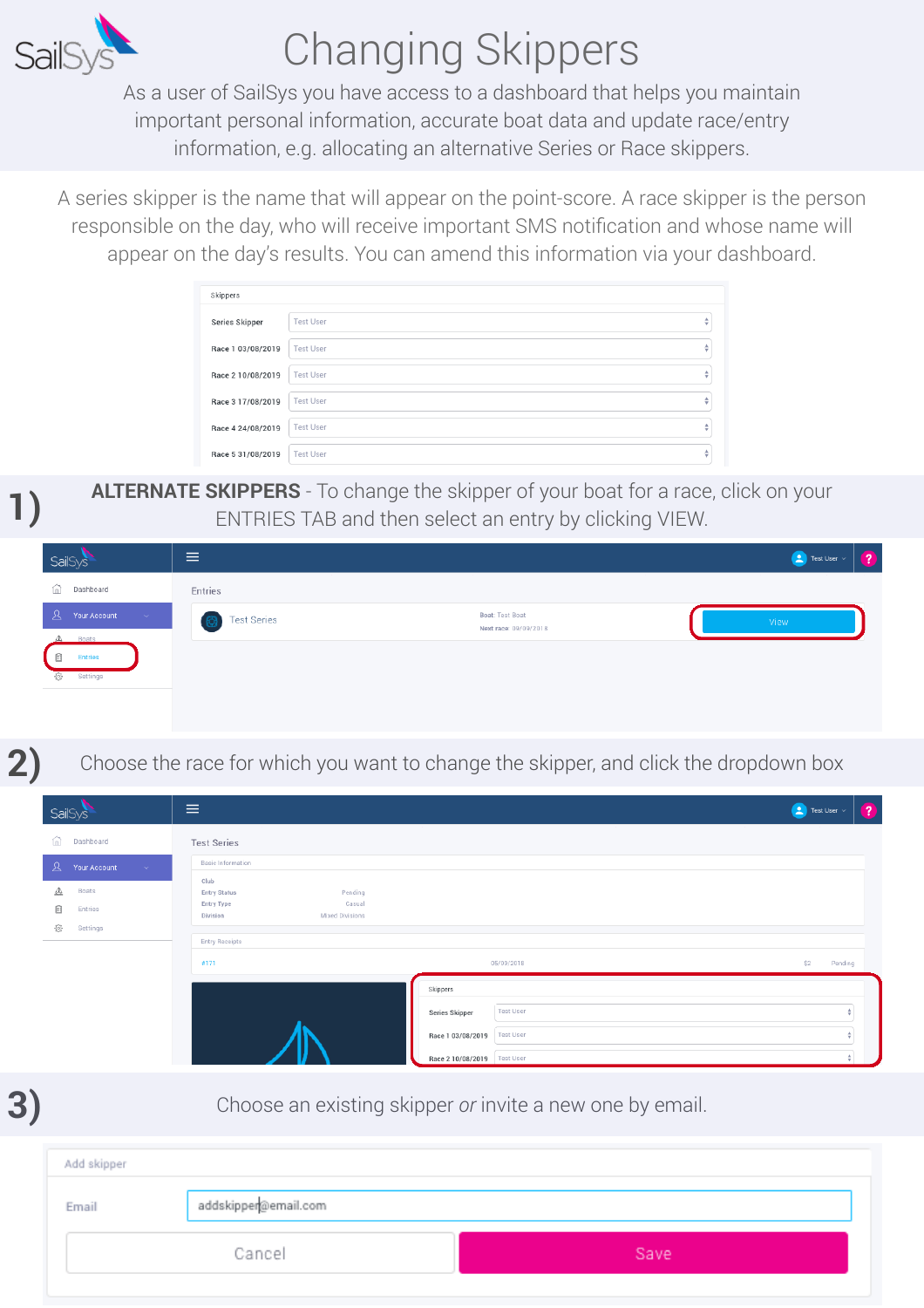

# Changing Skippers

As a user of SailSys you have access to a dashboard that helps you maintain important personal information, accurate boat data and update race/entry information, e.g. allocating an alternative Series or Race skippers.

A series skipper is the name that will appear on the point-score. A race skipper is the person responsible on the day, who will receive important SMS notification and whose name will appear on the day's results. You can amend this information via your dashboard.

| Skippers          |                  |   |
|-------------------|------------------|---|
| Series Skipper    | <b>Test User</b> | ÷ |
| Race 1 03/08/2019 | <b>Test User</b> | ô |
| Race 2 10/08/2019 | <b>Test User</b> | ÷ |
| Race 3 17/08/2019 | <b>Test User</b> | ÷ |
| Race 4 24/08/2019 | <b>Test User</b> | ÷ |
| Race 5 31/08/2019 | <b>Test User</b> | ô |

**ALTERNATE SKIPPERS** - To change the skipper of your boat for a race, click on your ENTRIES TAB and then select an entry by clicking VIEW.

| SailSys                                         | $\equiv$                 |                                          | $\begin{array}{ c c }\hline \textbf{2} & \text{Test User } \vee \end{array}$<br>$\mathbf{z}$ |
|-------------------------------------------------|--------------------------|------------------------------------------|----------------------------------------------------------------------------------------------|
| Dashboard<br>血                                  | Entries                  |                                          |                                                                                              |
| $\mathbf{A}$<br>Your Account<br>$\sim$ $\times$ | <b>Test Series</b><br>63 | Boat: Test Boat<br>Next race: 09/09/2018 | View                                                                                         |
| Boats<br>Δ<br>Ë<br><b>Entries</b>               |                          |                                          |                                                                                              |
| 俭<br>Settings                                   |                          |                                          |                                                                                              |
|                                                 |                          |                                          |                                                                                              |
|                                                 |                          |                                          |                                                                                              |

**2)**

Choose the race for which you want to change the skipper, and click the dropdown box

| <b>SailSys</b>          |                                   | $\equiv$                                                                                             | $\begin{pmatrix} 1 \\ 2 \end{pmatrix}$ Test User $\vee$ |         | $\left( 2\right)$ |
|-------------------------|-----------------------------------|------------------------------------------------------------------------------------------------------|---------------------------------------------------------|---------|-------------------|
|                         | (n) Dashboard                     | <b>Test Series</b>                                                                                   |                                                         |         |                   |
|                         | $\sqrt{2}$ Your Account<br>$\sim$ | <b>Basic Information</b>                                                                             |                                                         |         |                   |
| ◬<br>E<br>$\{\hat{Q}\}$ | Boats<br>Entries<br>Settings      | Club<br><b>Entry Status</b><br>Pending<br><b>Entry Type</b><br>Casual<br>Mixed Divisions<br>Division |                                                         |         |                   |
|                         |                                   | <b>Entry Receipts</b><br>05/09/2018<br>#171                                                          | \$2                                                     | Pending |                   |
|                         |                                   | Skippers                                                                                             |                                                         |         |                   |
|                         |                                   | <b>Test User</b><br>Series Skipper                                                                   |                                                         |         |                   |
|                         |                                   | <b>Test User</b><br>Race 1 03/08/2019                                                                |                                                         |         |                   |
|                         |                                   | Race 2 10/08/2019    Test User                                                                       |                                                         |         |                   |

**3)**

Choose an existing skipper *or* invite a new one by email.

| Add skipper |                      |      |
|-------------|----------------------|------|
| Email       | addskipper@email.com |      |
| Cancel      |                      | Save |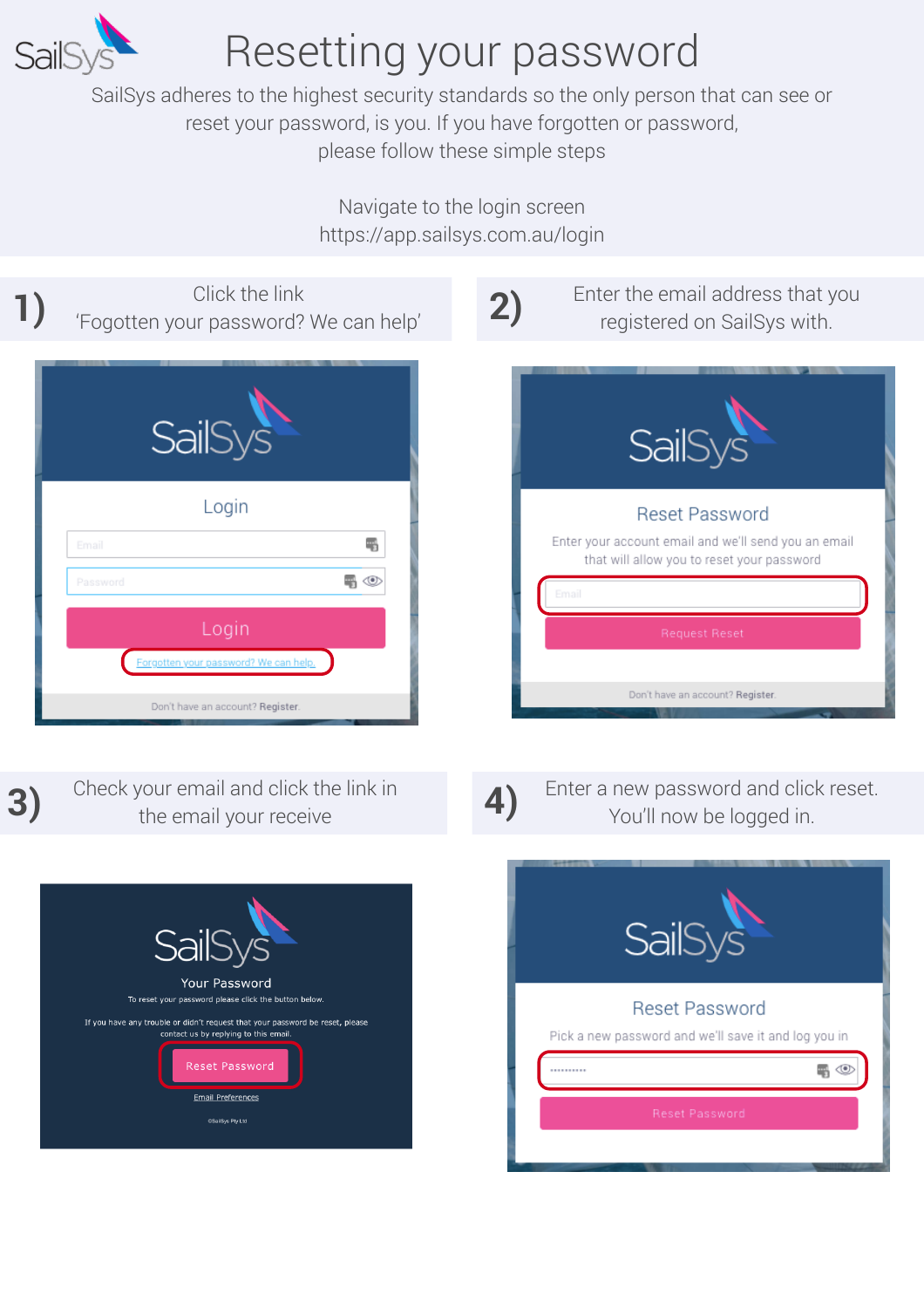

### Resetting your password

SailSys adheres to the highest security standards so the only person that can see or reset your password, is you. If you have forgotten or password, please follow these simple steps

> Navigate to the login screen https://app.sailsys.com.au/login

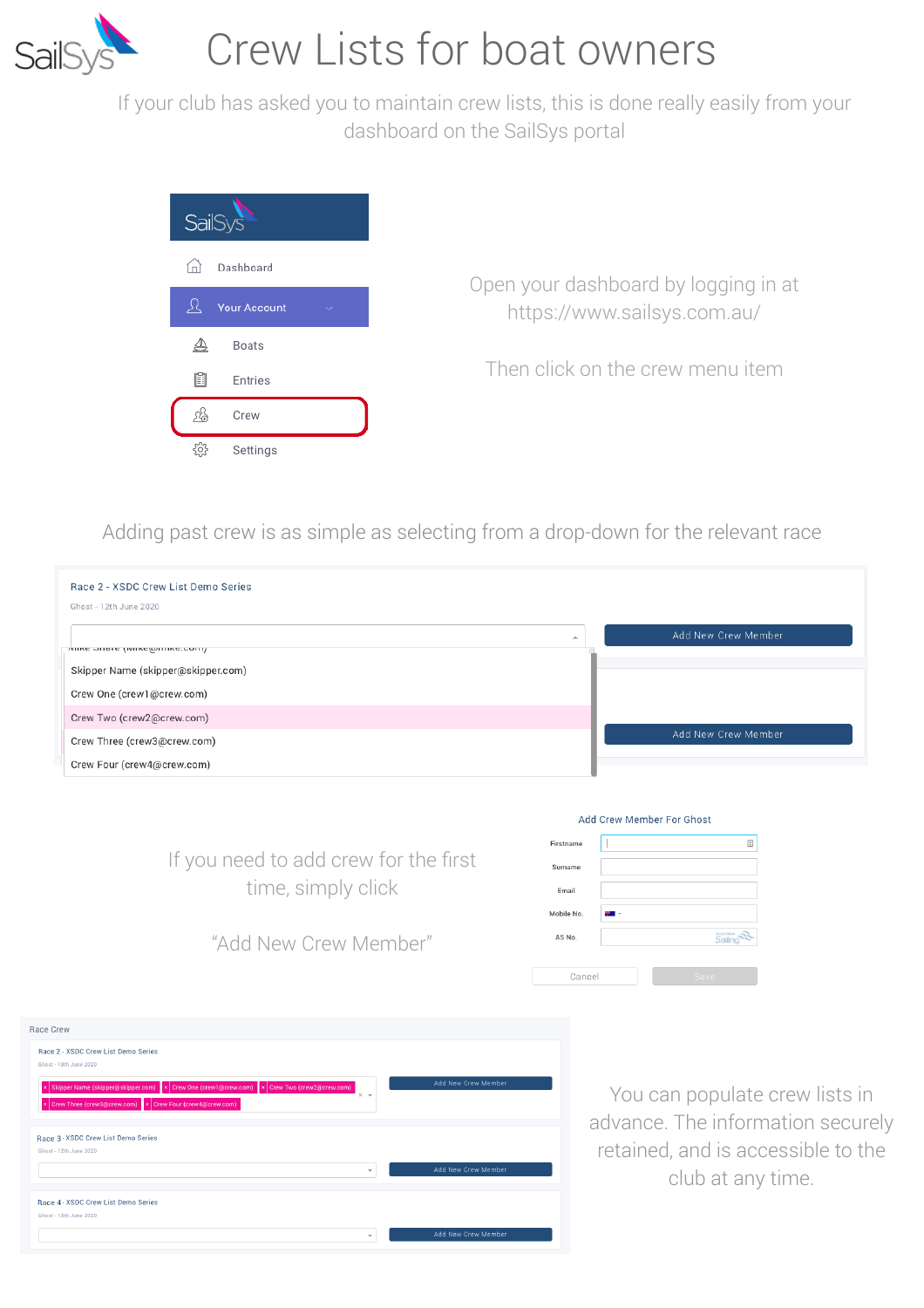

### Crew Lists for boat owners

If your club has asked you to maintain crew lists, this is done really easily from your dashboard on the SailSys portal



Adding past crew is as simple as selecting from a drop-down for the relevant race

| Race 2 - XSDC Crew List Demo Series<br>Ghost - 12th June 2020 |                     |
|---------------------------------------------------------------|---------------------|
| ואווער חוומו ב (ואווער ווווער יחווו                           | Add New Crew Member |
| Skipper Name (skipper@skipper.com)                            |                     |
| Crew One (crew1@crew.com)                                     |                     |
| Crew Two (crew2@crew.com)                                     |                     |
| Crew Three (crew3@crew.com)                                   | Add New Crew Member |
| Crew Four (crew4@crew.com)                                    |                     |

If you need to add crew for the first time, simply click

|            | Add Crew Member For Ghost |                        |
|------------|---------------------------|------------------------|
| Firstname  |                           | ▣                      |
| Surname    |                           |                        |
| Email      |                           |                        |
| Mobile No. | ٠                         |                        |
| AS No.     |                           | Australian<br>Saillinó |
| Cancel     |                           | Save                   |

"Add New Crew Member"

| Race Crew                                                                                         |                     |
|---------------------------------------------------------------------------------------------------|---------------------|
| Race 2 - XSDC Crew List Demo Series                                                               |                     |
| Ghost - 10th June 2020                                                                            |                     |
| Skipper Name (skipper@skipper.com) x Crew One (crew1@crew.com) x Crew Two (crew2@crew.com)<br>l x | Add New Crew Member |
| $\times$ $\star$<br>Crew Three (crew3@crew.com)   x Crew Four (crew4@crew.com)<br>l x             |                     |
|                                                                                                   |                     |
| Race 3 - XSDC Crew List Demo Series                                                               |                     |
| Ghost - 12th June 2020                                                                            |                     |
| $\overline{\mathbf{v}}$                                                                           | Add New Crew Member |
|                                                                                                   |                     |
| Race 4 - XSDC Crew List Demo Series                                                               |                     |
| Ghost - 13th June 2020                                                                            |                     |
| $\checkmark$                                                                                      | Add New Crew Member |

You can populate crew lists in advance. The information securely retained, and is accessible to the club at any time.